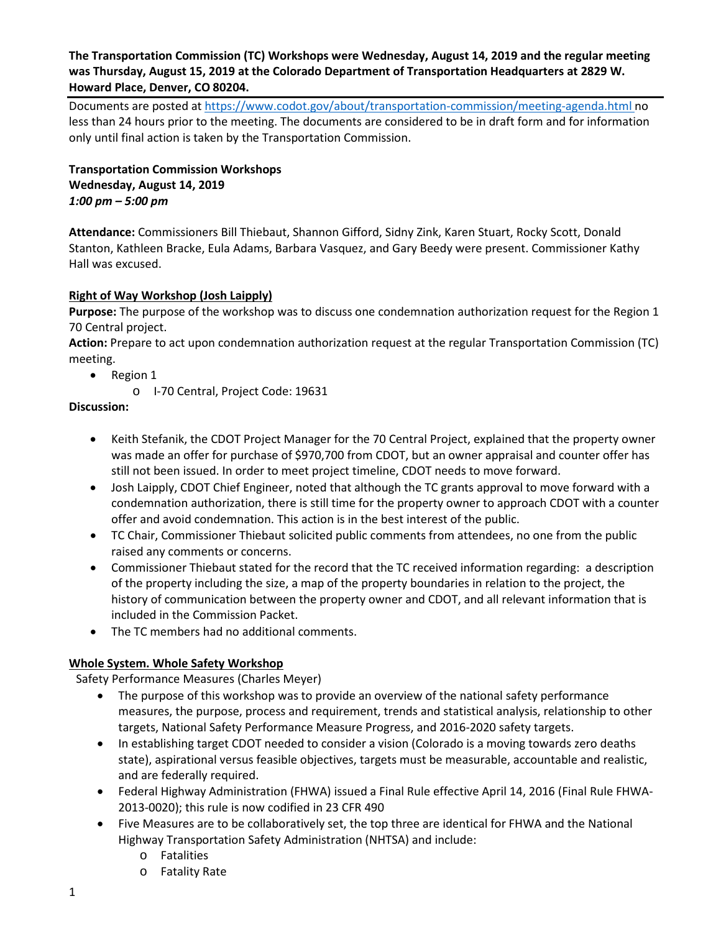## **The Transportation Commission (TC) Workshops were Wednesday, August 14, 2019 and the regular meeting was Thursday, August 15, 2019 at the Colorado Department of Transportation Headquarters at 2829 W. Howard Place, Denver, CO 80204.**

Documents are posted at<https://www.codot.gov/about/transportation-commission/meeting-agenda.html> no less than 24 hours prior to the meeting. The documents are considered to be in draft form and for information only until final action is taken by the Transportation Commission.

**Transportation Commission Workshops Wednesday, August 14, 2019** *1:00 pm – 5:00 pm*

**Attendance:** Commissioners Bill Thiebaut, Shannon Gifford, Sidny Zink, Karen Stuart, Rocky Scott, Donald Stanton, Kathleen Bracke, Eula Adams, Barbara Vasquez, and Gary Beedy were present. Commissioner Kathy Hall was excused.

## **[Right of Way Workshop \(Josh Laipply\)](https://www.codot.gov/about/transportation-commission/documents/2018-agendas-and-supporting-documents/december-2018/tc-row-2018-12-final.pdf)**

**Purpose:** The purpose of the workshop was to discuss one condemnation authorization request for the Region 1 70 Central project.

**Action:** Prepare to act upon condemnation authorization request at the regular Transportation Commission (TC) meeting.

- Region 1
	- o I-70 Central, Project Code: 19631

#### **Discussion:**

- Keith Stefanik, the CDOT Project Manager for the 70 Central Project, explained that the property owner was made an offer for purchase of \$970,700 from CDOT, but an owner appraisal and counter offer has still not been issued. In order to meet project timeline, CDOT needs to move forward.
- Josh Laipply, CDOT Chief Engineer, noted that although the TC grants approval to move forward with a condemnation authorization, there is still time for the property owner to approach CDOT with a counter offer and avoid condemnation. This action is in the best interest of the public.
- TC Chair, Commissioner Thiebaut solicited public comments from attendees, no one from the public raised any comments or concerns.
- Commissioner Thiebaut stated for the record that the TC received information regarding: a description of the property including the size, a map of the property boundaries in relation to the project, the history of communication between the property owner and CDOT, and all relevant information that is included in the Commission Packet.
- The TC members had no additional comments.

#### **Whole System. Whole Safety Workshop**

Safety Performance Measures (Charles Meyer)

- The purpose of this workshop was to provide an overview of the national safety performance measures, the purpose, process and requirement, trends and statistical analysis, relationship to other targets, National Safety Performance Measure Progress, and 2016-2020 safety targets.
- In establishing target CDOT needed to consider a vision (Colorado is a moving towards zero deaths state), aspirational versus feasible objectives, targets must be measurable, accountable and realistic, and are federally required.
- Federal Highway Administration (FHWA) issued a Final Rule effective April 14, 2016 (Final Rule FHWA-2013-0020); this rule is now codified in 23 CFR 490
- Five Measures are to be collaboratively set, the top three are identical for FHWA and the National Highway Transportation Safety Administration (NHTSA) and include:
	- o Fatalities
	- o Fatality Rate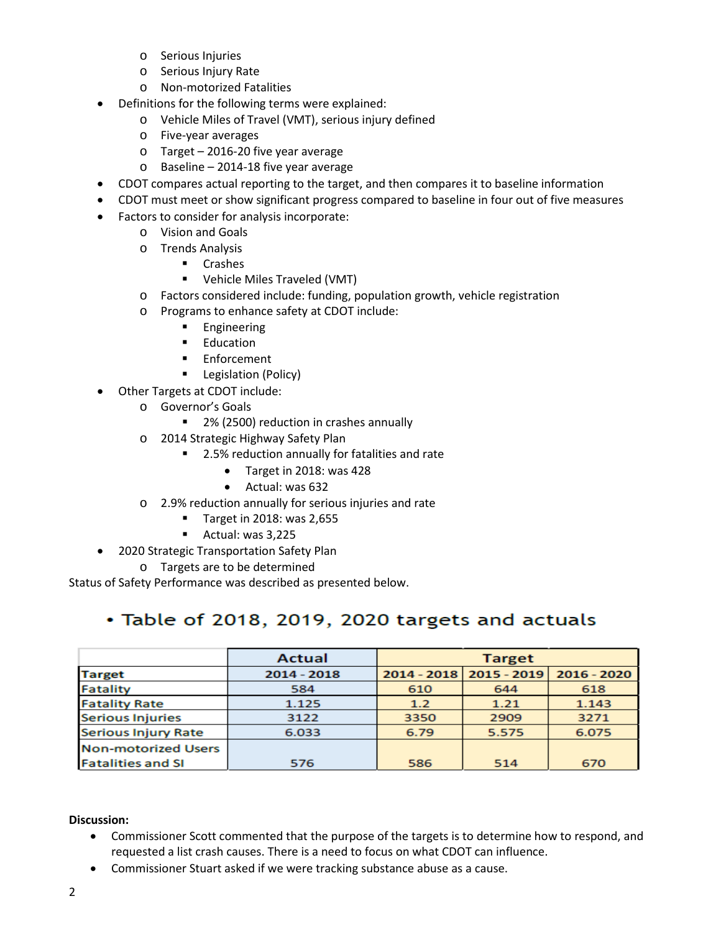- o Serious Injuries
- o Serious Injury Rate
- o Non-motorized Fatalities
- Definitions for the following terms were explained:
	- o Vehicle Miles of Travel (VMT), serious injury defined
	- o Five-year averages
	- o Target 2016-20 five year average
	- o Baseline 2014-18 five year average
- CDOT compares actual reporting to the target, and then compares it to baseline information
- CDOT must meet or show significant progress compared to baseline in four out of five measures
- Factors to consider for analysis incorporate:
	- o Vision and Goals
	- o Trends Analysis
		- **E** Crashes
		- Vehicle Miles Traveled (VMT)
	- o Factors considered include: funding, population growth, vehicle registration
	- o Programs to enhance safety at CDOT include:
		- **Engineering**
		- **Education**
		- **Enforcement**
		- **Legislation (Policy)**
- Other Targets at CDOT include:
	- o Governor's Goals
		- 2% (2500) reduction in crashes annually
	- o 2014 Strategic Highway Safety Plan
		- 2.5% reduction annually for fatalities and rate
			- Target in 2018: was 428
			- Actual: was 632
	- o 2.9% reduction annually for serious injuries and rate
		- **Target in 2018: was 2,655**
		- **Actual: was 3,225**
- 2020 Strategic Transportation Safety Plan
	- o Targets are to be determined

Status of Safety Performance was described as presented below.

# • Table of 2018, 2019, 2020 targets and actuals

|                            | <b>Actual</b> | <b>Target</b> |                           |               |
|----------------------------|---------------|---------------|---------------------------|---------------|
| <b>Target</b>              | $2014 - 2018$ |               | 2014 - 2018   2015 - 2019 | $2016 - 2020$ |
| <b>Fatality</b>            | 584           | 610           | 644                       | 618           |
| <b>Fatality Rate</b>       | 1.125         | 1.2           | 1.21                      | 1.143         |
| <b>Serious Injuries</b>    | 3122          | 3350          | 2909                      | 3271          |
| <b>Serious Injury Rate</b> | 6.033         | 6.79          | 5.575                     | 6.075         |
| <b>Non-motorized Users</b> |               |               |                           |               |
| <b>Fatalities and SI</b>   | 576           | 586           | 514                       | 670           |

**Discussion:**

- Commissioner Scott commented that the purpose of the targets is to determine how to respond, and requested a list crash causes. There is a need to focus on what CDOT can influence.
- Commissioner Stuart asked if we were tracking substance abuse as a cause.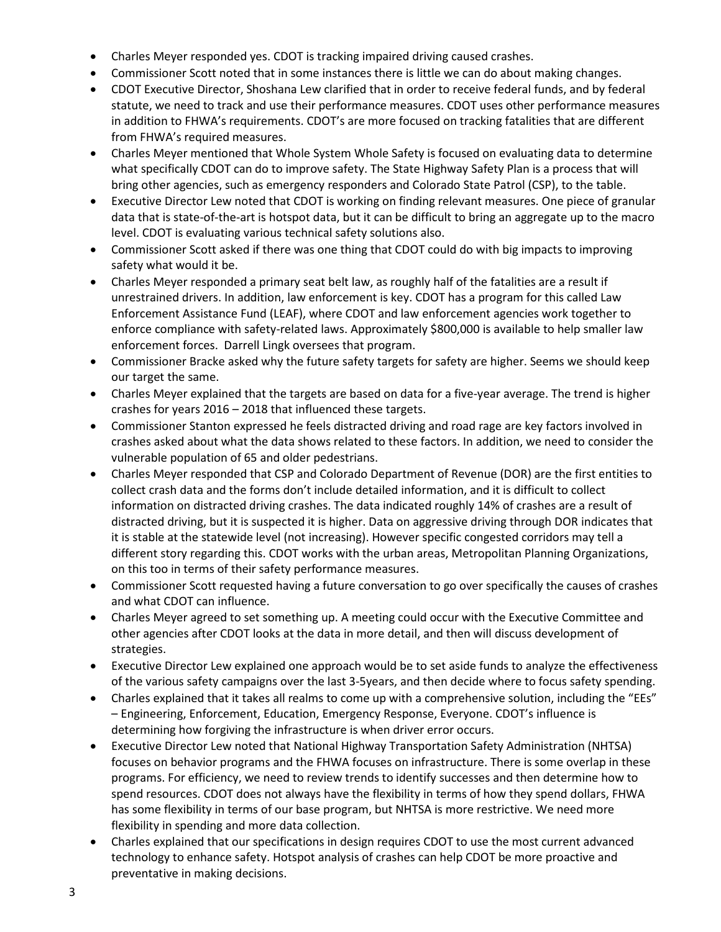- Charles Meyer responded yes. CDOT is tracking impaired driving caused crashes.
- Commissioner Scott noted that in some instances there is little we can do about making changes.
- CDOT Executive Director, Shoshana Lew clarified that in order to receive federal funds, and by federal statute, we need to track and use their performance measures. CDOT uses other performance measures in addition to FHWA's requirements. CDOT's are more focused on tracking fatalities that are different from FHWA's required measures.
- Charles Meyer mentioned that Whole System Whole Safety is focused on evaluating data to determine what specifically CDOT can do to improve safety. The State Highway Safety Plan is a process that will bring other agencies, such as emergency responders and Colorado State Patrol (CSP), to the table.
- Executive Director Lew noted that CDOT is working on finding relevant measures. One piece of granular data that is state-of-the-art is hotspot data, but it can be difficult to bring an aggregate up to the macro level. CDOT is evaluating various technical safety solutions also.
- Commissioner Scott asked if there was one thing that CDOT could do with big impacts to improving safety what would it be.
- Charles Meyer responded a primary seat belt law, as roughly half of the fatalities are a result if unrestrained drivers. In addition, law enforcement is key. CDOT has a program for this called Law Enforcement Assistance Fund (LEAF), where CDOT and law enforcement agencies work together to enforce compliance with safety-related laws. Approximately \$800,000 is available to help smaller law enforcement forces. Darrell Lingk oversees that program.
- Commissioner Bracke asked why the future safety targets for safety are higher. Seems we should keep our target the same.
- Charles Meyer explained that the targets are based on data for a five-year average. The trend is higher crashes for years 2016 – 2018 that influenced these targets.
- Commissioner Stanton expressed he feels distracted driving and road rage are key factors involved in crashes asked about what the data shows related to these factors. In addition, we need to consider the vulnerable population of 65 and older pedestrians.
- Charles Meyer responded that CSP and Colorado Department of Revenue (DOR) are the first entities to collect crash data and the forms don't include detailed information, and it is difficult to collect information on distracted driving crashes. The data indicated roughly 14% of crashes are a result of distracted driving, but it is suspected it is higher. Data on aggressive driving through DOR indicates that it is stable at the statewide level (not increasing). However specific congested corridors may tell a different story regarding this. CDOT works with the urban areas, Metropolitan Planning Organizations, on this too in terms of their safety performance measures.
- Commissioner Scott requested having a future conversation to go over specifically the causes of crashes and what CDOT can influence.
- Charles Meyer agreed to set something up. A meeting could occur with the Executive Committee and other agencies after CDOT looks at the data in more detail, and then will discuss development of strategies.
- Executive Director Lew explained one approach would be to set aside funds to analyze the effectiveness of the various safety campaigns over the last 3-5years, and then decide where to focus safety spending.
- Charles explained that it takes all realms to come up with a comprehensive solution, including the "EEs" – Engineering, Enforcement, Education, Emergency Response, Everyone. CDOT's influence is determining how forgiving the infrastructure is when driver error occurs.
- Executive Director Lew noted that National Highway Transportation Safety Administration (NHTSA) focuses on behavior programs and the FHWA focuses on infrastructure. There is some overlap in these programs. For efficiency, we need to review trends to identify successes and then determine how to spend resources. CDOT does not always have the flexibility in terms of how they spend dollars, FHWA has some flexibility in terms of our base program, but NHTSA is more restrictive. We need more flexibility in spending and more data collection.
- Charles explained that our specifications in design requires CDOT to use the most current advanced technology to enhance safety. Hotspot analysis of crashes can help CDOT be more proactive and preventative in making decisions.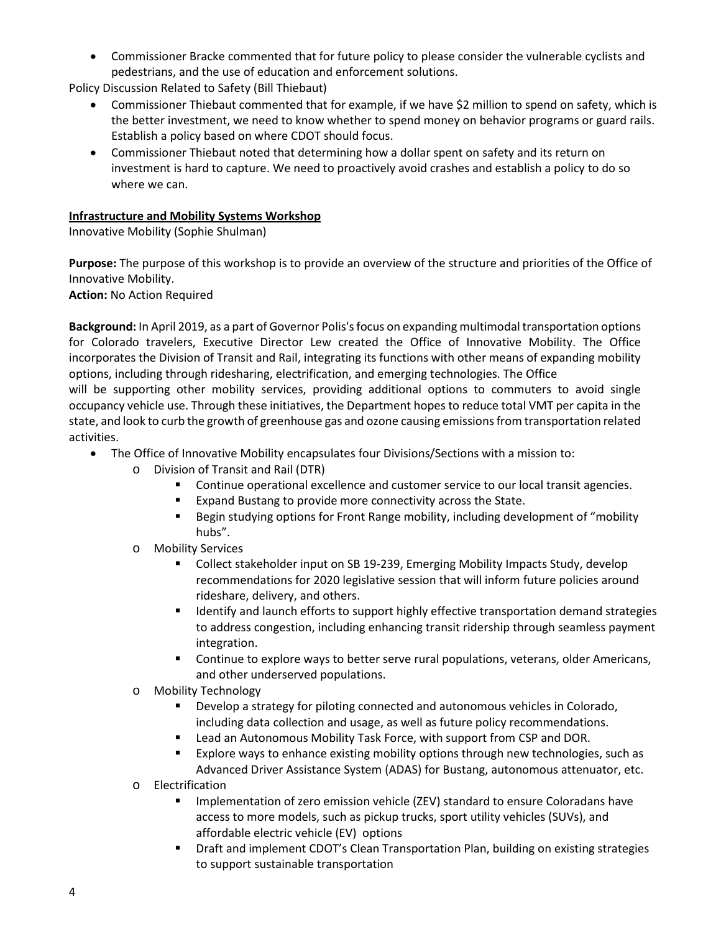• Commissioner Bracke commented that for future policy to please consider the vulnerable cyclists and pedestrians, and the use of education and enforcement solutions.

Policy Discussion Related to Safety (Bill Thiebaut)

- Commissioner Thiebaut commented that for example, if we have \$2 million to spend on safety, which is the better investment, we need to know whether to spend money on behavior programs or guard rails. Establish a policy based on where CDOT should focus.
- Commissioner Thiebaut noted that determining how a dollar spent on safety and its return on investment is hard to capture. We need to proactively avoid crashes and establish a policy to do so where we can.

## **Infrastructure and Mobility Systems Workshop**

Innovative Mobility (Sophie Shulman)

**Purpose:** The purpose of this workshop is to provide an overview of the structure and priorities of the Office of Innovative Mobility.

**Action:** No Action Required

**Background:** In April 2019, as a part of Governor Polis's focus on expanding multimodal transportation options for Colorado travelers, Executive Director Lew created the Office of Innovative Mobility. The Office incorporates the Division of Transit and Rail, integrating its functions with other means of expanding mobility options, including through ridesharing, electrification, and emerging technologies. The Office

will be supporting other mobility services, providing additional options to commuters to avoid single occupancy vehicle use. Through these initiatives, the Department hopes to reduce total VMT per capita in the state, and look to curb the growth of greenhouse gas and ozone causing emissions from transportation related activities.

- The Office of Innovative Mobility encapsulates four Divisions/Sections with a mission to:
	- o Division of Transit and Rail (DTR)
		- **Continue operational excellence and customer service to our local transit agencies.**
		- **Expand Bustang to provide more connectivity across the State.**
		- **Begin studying options for Front Range mobility, including development of "mobility** hubs".
	- o Mobility Services
		- Collect stakeholder input on SB 19-239, Emerging Mobility Impacts Study, develop recommendations for 2020 legislative session that will inform future policies around rideshare, delivery, and others.
		- **If Identify and launch efforts to support highly effective transportation demand strategies** to address congestion, including enhancing transit ridership through seamless payment integration.
		- **Continue to explore ways to better serve rural populations, veterans, older Americans,** and other underserved populations.
	- o Mobility Technology
		- **Develop a strategy for piloting connected and autonomous vehicles in Colorado,** including data collection and usage, as well as future policy recommendations.
		- **EXECT A** Lead an Autonomous Mobility Task Force, with support from CSP and DOR.
		- Explore ways to enhance existing mobility options through new technologies, such as Advanced Driver Assistance System (ADAS) for Bustang, autonomous attenuator, etc.
	- o Electrification
		- Implementation of zero emission vehicle (ZEV) standard to ensure Coloradans have access to more models, such as pickup trucks, sport utility vehicles (SUVs), and affordable electric vehicle (EV) options
		- Draft and implement CDOT's Clean Transportation Plan, building on existing strategies to support sustainable transportation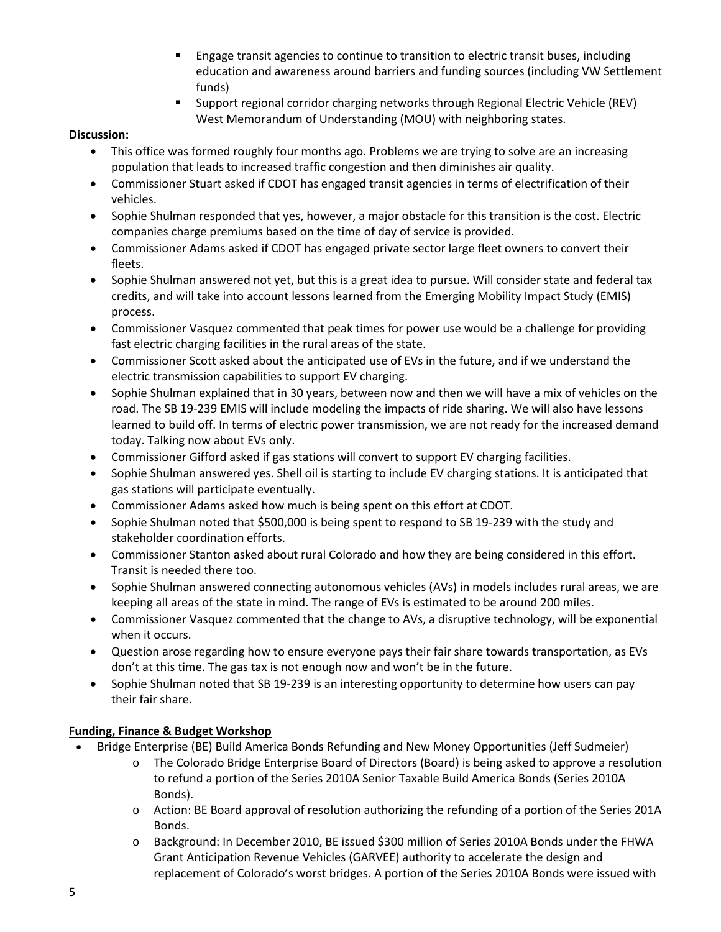- Engage transit agencies to continue to transition to electric transit buses, including education and awareness around barriers and funding sources (including VW Settlement funds)
- Support regional corridor charging networks through Regional Electric Vehicle (REV) West Memorandum of Understanding (MOU) with neighboring states.

## **Discussion:**

- This office was formed roughly four months ago. Problems we are trying to solve are an increasing population that leads to increased traffic congestion and then diminishes air quality.
- Commissioner Stuart asked if CDOT has engaged transit agencies in terms of electrification of their vehicles.
- Sophie Shulman responded that yes, however, a major obstacle for this transition is the cost. Electric companies charge premiums based on the time of day of service is provided.
- Commissioner Adams asked if CDOT has engaged private sector large fleet owners to convert their fleets.
- Sophie Shulman answered not yet, but this is a great idea to pursue. Will consider state and federal tax credits, and will take into account lessons learned from the Emerging Mobility Impact Study (EMIS) process.
- Commissioner Vasquez commented that peak times for power use would be a challenge for providing fast electric charging facilities in the rural areas of the state.
- Commissioner Scott asked about the anticipated use of EVs in the future, and if we understand the electric transmission capabilities to support EV charging.
- Sophie Shulman explained that in 30 years, between now and then we will have a mix of vehicles on the road. The SB 19-239 EMIS will include modeling the impacts of ride sharing. We will also have lessons learned to build off. In terms of electric power transmission, we are not ready for the increased demand today. Talking now about EVs only.
- Commissioner Gifford asked if gas stations will convert to support EV charging facilities.
- Sophie Shulman answered yes. Shell oil is starting to include EV charging stations. It is anticipated that gas stations will participate eventually.
- Commissioner Adams asked how much is being spent on this effort at CDOT.
- Sophie Shulman noted that \$500,000 is being spent to respond to SB 19-239 with the study and stakeholder coordination efforts.
- Commissioner Stanton asked about rural Colorado and how they are being considered in this effort. Transit is needed there too.
- Sophie Shulman answered connecting autonomous vehicles (AVs) in models includes rural areas, we are keeping all areas of the state in mind. The range of EVs is estimated to be around 200 miles.
- Commissioner Vasquez commented that the change to AVs, a disruptive technology, will be exponential when it occurs.
- Question arose regarding how to ensure everyone pays their fair share towards transportation, as EVs don't at this time. The gas tax is not enough now and won't be in the future.
- Sophie Shulman noted that SB 19-239 is an interesting opportunity to determine how users can pay their fair share.

# **Funding, Finance & Budget Workshop**

- Bridge Enterprise (BE) Build America Bonds Refunding and New Money Opportunities (Jeff Sudmeier)
	- o The Colorado Bridge Enterprise Board of Directors (Board) is being asked to approve a resolution to refund a portion of the Series 2010A Senior Taxable Build America Bonds (Series 2010A Bonds).
	- o Action: BE Board approval of resolution authorizing the refunding of a portion of the Series 201A Bonds.
	- o Background: In December 2010, BE issued \$300 million of Series 2010A Bonds under the FHWA Grant Anticipation Revenue Vehicles (GARVEE) authority to accelerate the design and replacement of Colorado's worst bridges. A portion of the Series 2010A Bonds were issued with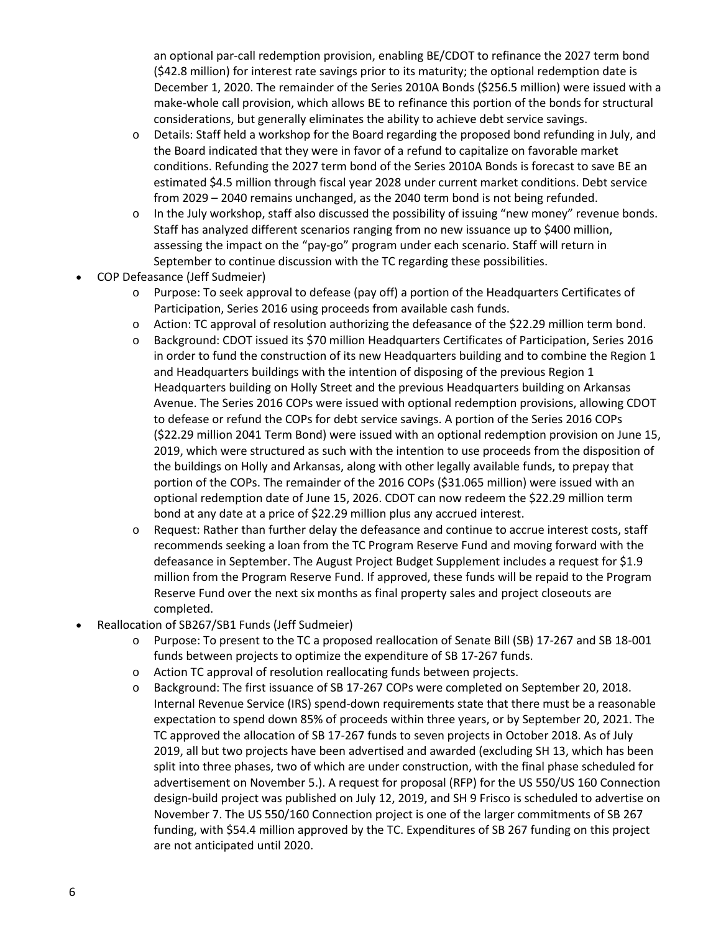an optional par-call redemption provision, enabling BE/CDOT to refinance the 2027 term bond (\$42.8 million) for interest rate savings prior to its maturity; the optional redemption date is December 1, 2020. The remainder of the Series 2010A Bonds (\$256.5 million) were issued with a make-whole call provision, which allows BE to refinance this portion of the bonds for structural considerations, but generally eliminates the ability to achieve debt service savings.

- o Details: Staff held a workshop for the Board regarding the proposed bond refunding in July, and the Board indicated that they were in favor of a refund to capitalize on favorable market conditions. Refunding the 2027 term bond of the Series 2010A Bonds is forecast to save BE an estimated \$4.5 million through fiscal year 2028 under current market conditions. Debt service from 2029 – 2040 remains unchanged, as the 2040 term bond is not being refunded.
- o In the July workshop, staff also discussed the possibility of issuing "new money" revenue bonds. Staff has analyzed different scenarios ranging from no new issuance up to \$400 million, assessing the impact on the "pay-go" program under each scenario. Staff will return in September to continue discussion with the TC regarding these possibilities.
- COP Defeasance (Jeff Sudmeier)
	- o Purpose: To seek approval to defease (pay off) a portion of the Headquarters Certificates of Participation, Series 2016 using proceeds from available cash funds.
	- o Action: TC approval of resolution authorizing the defeasance of the \$22.29 million term bond.
	- o Background: CDOT issued its \$70 million Headquarters Certificates of Participation, Series 2016 in order to fund the construction of its new Headquarters building and to combine the Region 1 and Headquarters buildings with the intention of disposing of the previous Region 1 Headquarters building on Holly Street and the previous Headquarters building on Arkansas Avenue. The Series 2016 COPs were issued with optional redemption provisions, allowing CDOT to defease or refund the COPs for debt service savings. A portion of the Series 2016 COPs (\$22.29 million 2041 Term Bond) were issued with an optional redemption provision on June 15, 2019, which were structured as such with the intention to use proceeds from the disposition of the buildings on Holly and Arkansas, along with other legally available funds, to prepay that portion of the COPs. The remainder of the 2016 COPs (\$31.065 million) were issued with an optional redemption date of June 15, 2026. CDOT can now redeem the \$22.29 million term bond at any date at a price of \$22.29 million plus any accrued interest.
	- Request: Rather than further delay the defeasance and continue to accrue interest costs, staff recommends seeking a loan from the TC Program Reserve Fund and moving forward with the defeasance in September. The August Project Budget Supplement includes a request for \$1.9 million from the Program Reserve Fund. If approved, these funds will be repaid to the Program Reserve Fund over the next six months as final property sales and project closeouts are completed.
- Reallocation of SB267/SB1 Funds (Jeff Sudmeier)
	- o Purpose: To present to the TC a proposed reallocation of Senate Bill (SB) 17-267 and SB 18-001 funds between projects to optimize the expenditure of SB 17-267 funds.
	- o Action TC approval of resolution reallocating funds between projects.
	- o Background: The first issuance of SB 17-267 COPs were completed on September 20, 2018. Internal Revenue Service (IRS) spend-down requirements state that there must be a reasonable expectation to spend down 85% of proceeds within three years, or by September 20, 2021. The TC approved the allocation of SB 17-267 funds to seven projects in October 2018. As of July 2019, all but two projects have been advertised and awarded (excluding SH 13, which has been split into three phases, two of which are under construction, with the final phase scheduled for advertisement on November 5.). A request for proposal (RFP) for the US 550/US 160 Connection design-build project was published on July 12, 2019, and SH 9 Frisco is scheduled to advertise on November 7. The US 550/160 Connection project is one of the larger commitments of SB 267 funding, with \$54.4 million approved by the TC. Expenditures of SB 267 funding on this project are not anticipated until 2020.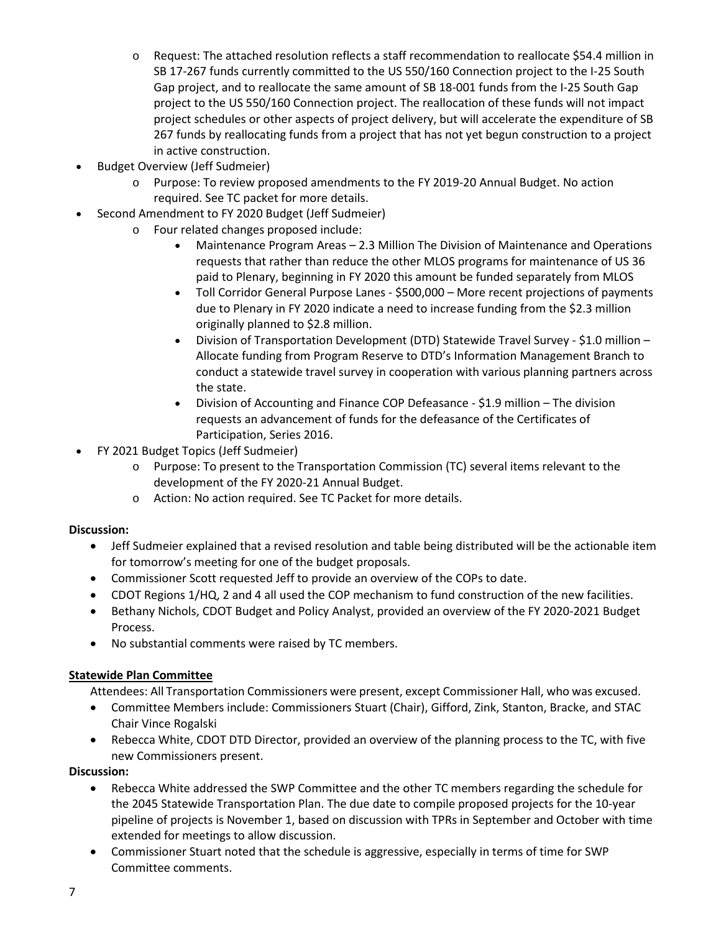- o Request: The attached resolution reflects a staff recommendation to reallocate \$54.4 million in SB 17-267 funds currently committed to the US 550/160 Connection project to the I-25 South Gap project, and to reallocate the same amount of SB 18-001 funds from the I-25 South Gap project to the US 550/160 Connection project. The reallocation of these funds will not impact project schedules or other aspects of project delivery, but will accelerate the expenditure of SB 267 funds by reallocating funds from a project that has not yet begun construction to a project in active construction.
- Budget Overview (Jeff Sudmeier)
	- o Purpose: To review proposed amendments to the FY 2019-20 Annual Budget. No action required. See TC packet for more details.
- Second Amendment to FY 2020 Budget (Jeff Sudmeier)
	- o Four related changes proposed include:
		- Maintenance Program Areas 2.3 Million The Division of Maintenance and Operations requests that rather than reduce the other MLOS programs for maintenance of US 36 paid to Plenary, beginning in FY 2020 this amount be funded separately from MLOS
		- Toll Corridor General Purpose Lanes \$500,000 More recent projections of payments due to Plenary in FY 2020 indicate a need to increase funding from the \$2.3 million originally planned to \$2.8 million.
		- Division of Transportation Development (DTD) Statewide Travel Survey \$1.0 million Allocate funding from Program Reserve to DTD's Information Management Branch to conduct a statewide travel survey in cooperation with various planning partners across the state.
		- Division of Accounting and Finance COP Defeasance \$1.9 million The division requests an advancement of funds for the defeasance of the Certificates of Participation, Series 2016.
- FY 2021 Budget Topics (Jeff Sudmeier)
	- o Purpose: To present to the Transportation Commission (TC) several items relevant to the development of the FY 2020-21 Annual Budget.
	- o Action: No action required. See TC Packet for more details.

#### **Discussion:**

- Jeff Sudmeier explained that a revised resolution and table being distributed will be the actionable item for tomorrow's meeting for one of the budget proposals.
- Commissioner Scott requested Jeff to provide an overview of the COPs to date.
- CDOT Regions 1/HQ, 2 and 4 all used the COP mechanism to fund construction of the new facilities.
- Bethany Nichols, CDOT Budget and Policy Analyst, provided an overview of the FY 2020-2021 Budget Process.
- No substantial comments were raised by TC members.

#### **Statewide Plan Committee**

Attendees: All Transportation Commissioners were present, except Commissioner Hall, who was excused.

- Committee Members include: Commissioners Stuart (Chair), Gifford, Zink, Stanton, Bracke, and STAC Chair Vince Rogalski
- Rebecca White, CDOT DTD Director, provided an overview of the planning process to the TC, with five new Commissioners present.

#### **Discussion:**

- Rebecca White addressed the SWP Committee and the other TC members regarding the schedule for the 2045 Statewide Transportation Plan. The due date to compile proposed projects for the 10-year pipeline of projects is November 1, based on discussion with TPRs in September and October with time extended for meetings to allow discussion.
- Commissioner Stuart noted that the schedule is aggressive, especially in terms of time for SWP Committee comments.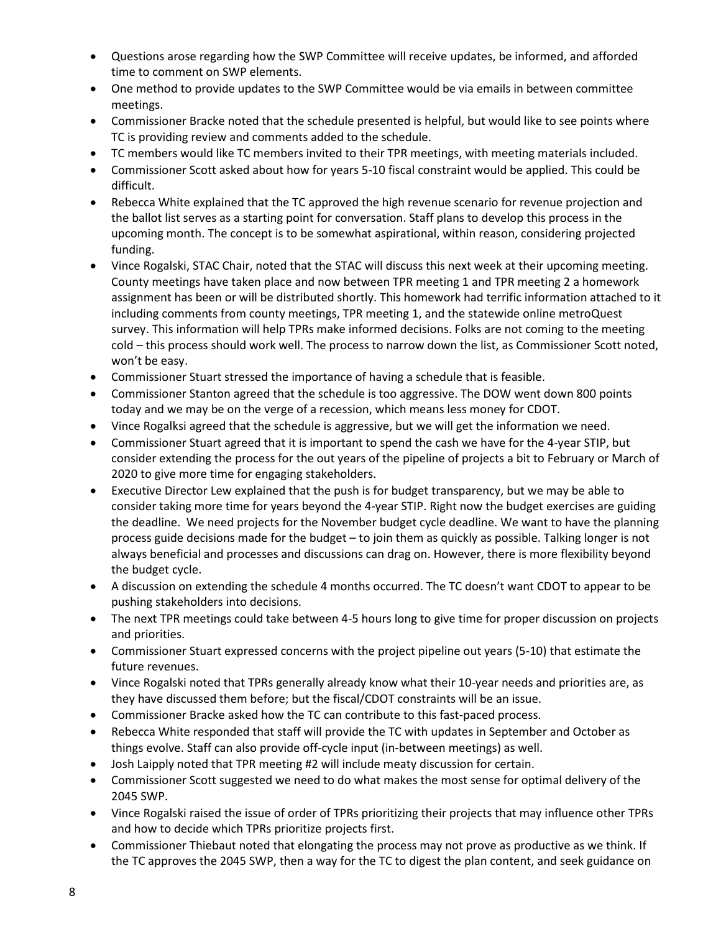- Questions arose regarding how the SWP Committee will receive updates, be informed, and afforded time to comment on SWP elements.
- One method to provide updates to the SWP Committee would be via emails in between committee meetings.
- Commissioner Bracke noted that the schedule presented is helpful, but would like to see points where TC is providing review and comments added to the schedule.
- TC members would like TC members invited to their TPR meetings, with meeting materials included.
- Commissioner Scott asked about how for years 5-10 fiscal constraint would be applied. This could be difficult.
- Rebecca White explained that the TC approved the high revenue scenario for revenue projection and the ballot list serves as a starting point for conversation. Staff plans to develop this process in the upcoming month. The concept is to be somewhat aspirational, within reason, considering projected funding.
- Vince Rogalski, STAC Chair, noted that the STAC will discuss this next week at their upcoming meeting. County meetings have taken place and now between TPR meeting 1 and TPR meeting 2 a homework assignment has been or will be distributed shortly. This homework had terrific information attached to it including comments from county meetings, TPR meeting 1, and the statewide online metroQuest survey. This information will help TPRs make informed decisions. Folks are not coming to the meeting cold – this process should work well. The process to narrow down the list, as Commissioner Scott noted, won't be easy.
- Commissioner Stuart stressed the importance of having a schedule that is feasible.
- Commissioner Stanton agreed that the schedule is too aggressive. The DOW went down 800 points today and we may be on the verge of a recession, which means less money for CDOT.
- Vince Rogalksi agreed that the schedule is aggressive, but we will get the information we need.
- Commissioner Stuart agreed that it is important to spend the cash we have for the 4-year STIP, but consider extending the process for the out years of the pipeline of projects a bit to February or March of 2020 to give more time for engaging stakeholders.
- Executive Director Lew explained that the push is for budget transparency, but we may be able to consider taking more time for years beyond the 4-year STIP. Right now the budget exercises are guiding the deadline. We need projects for the November budget cycle deadline. We want to have the planning process guide decisions made for the budget – to join them as quickly as possible. Talking longer is not always beneficial and processes and discussions can drag on. However, there is more flexibility beyond the budget cycle.
- A discussion on extending the schedule 4 months occurred. The TC doesn't want CDOT to appear to be pushing stakeholders into decisions.
- The next TPR meetings could take between 4-5 hours long to give time for proper discussion on projects and priorities.
- Commissioner Stuart expressed concerns with the project pipeline out years (5-10) that estimate the future revenues.
- Vince Rogalski noted that TPRs generally already know what their 10-year needs and priorities are, as they have discussed them before; but the fiscal/CDOT constraints will be an issue.
- Commissioner Bracke asked how the TC can contribute to this fast-paced process.
- Rebecca White responded that staff will provide the TC with updates in September and October as things evolve. Staff can also provide off-cycle input (in-between meetings) as well.
- Josh Laipply noted that TPR meeting #2 will include meaty discussion for certain.
- Commissioner Scott suggested we need to do what makes the most sense for optimal delivery of the 2045 SWP.
- Vince Rogalski raised the issue of order of TPRs prioritizing their projects that may influence other TPRs and how to decide which TPRs prioritize projects first.
- Commissioner Thiebaut noted that elongating the process may not prove as productive as we think. If the TC approves the 2045 SWP, then a way for the TC to digest the plan content, and seek guidance on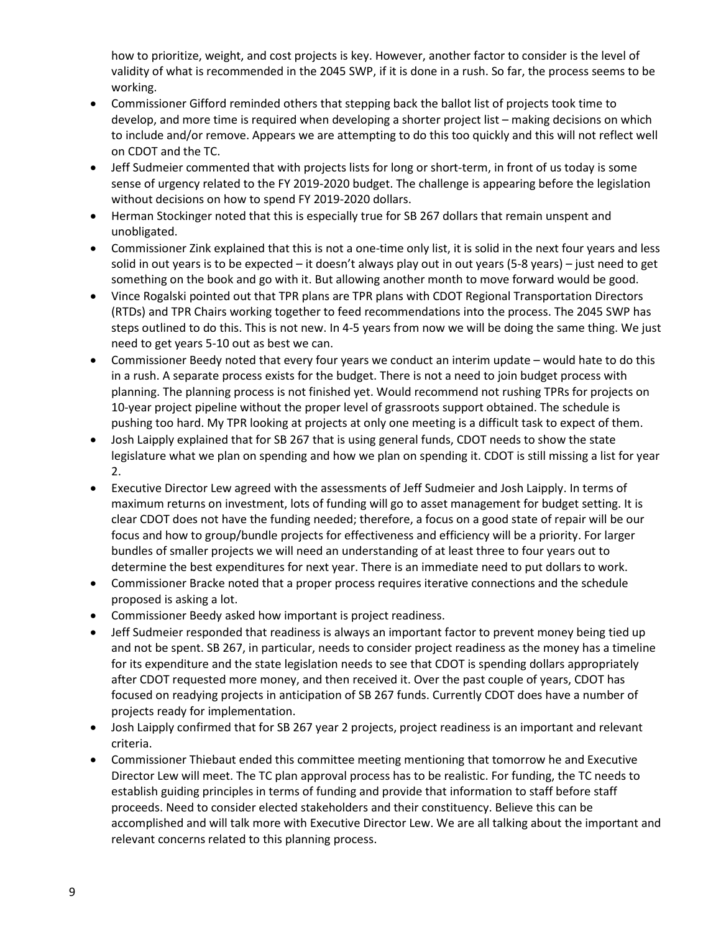how to prioritize, weight, and cost projects is key. However, another factor to consider is the level of validity of what is recommended in the 2045 SWP, if it is done in a rush. So far, the process seems to be working.

- Commissioner Gifford reminded others that stepping back the ballot list of projects took time to develop, and more time is required when developing a shorter project list – making decisions on which to include and/or remove. Appears we are attempting to do this too quickly and this will not reflect well on CDOT and the TC.
- Jeff Sudmeier commented that with projects lists for long or short-term, in front of us today is some sense of urgency related to the FY 2019-2020 budget. The challenge is appearing before the legislation without decisions on how to spend FY 2019-2020 dollars.
- Herman Stockinger noted that this is especially true for SB 267 dollars that remain unspent and unobligated.
- Commissioner Zink explained that this is not a one-time only list, it is solid in the next four years and less solid in out years is to be expected – it doesn't always play out in out years (5-8 years) – just need to get something on the book and go with it. But allowing another month to move forward would be good.
- Vince Rogalski pointed out that TPR plans are TPR plans with CDOT Regional Transportation Directors (RTDs) and TPR Chairs working together to feed recommendations into the process. The 2045 SWP has steps outlined to do this. This is not new. In 4-5 years from now we will be doing the same thing. We just need to get years 5-10 out as best we can.
- Commissioner Beedy noted that every four years we conduct an interim update would hate to do this in a rush. A separate process exists for the budget. There is not a need to join budget process with planning. The planning process is not finished yet. Would recommend not rushing TPRs for projects on 10-year project pipeline without the proper level of grassroots support obtained. The schedule is pushing too hard. My TPR looking at projects at only one meeting is a difficult task to expect of them.
- Josh Laipply explained that for SB 267 that is using general funds, CDOT needs to show the state legislature what we plan on spending and how we plan on spending it. CDOT is still missing a list for year 2.
- Executive Director Lew agreed with the assessments of Jeff Sudmeier and Josh Laipply. In terms of maximum returns on investment, lots of funding will go to asset management for budget setting. It is clear CDOT does not have the funding needed; therefore, a focus on a good state of repair will be our focus and how to group/bundle projects for effectiveness and efficiency will be a priority. For larger bundles of smaller projects we will need an understanding of at least three to four years out to determine the best expenditures for next year. There is an immediate need to put dollars to work.
- Commissioner Bracke noted that a proper process requires iterative connections and the schedule proposed is asking a lot.
- Commissioner Beedy asked how important is project readiness.
- Jeff Sudmeier responded that readiness is always an important factor to prevent money being tied up and not be spent. SB 267, in particular, needs to consider project readiness as the money has a timeline for its expenditure and the state legislation needs to see that CDOT is spending dollars appropriately after CDOT requested more money, and then received it. Over the past couple of years, CDOT has focused on readying projects in anticipation of SB 267 funds. Currently CDOT does have a number of projects ready for implementation.
- Josh Laipply confirmed that for SB 267 year 2 projects, project readiness is an important and relevant criteria.
- Commissioner Thiebaut ended this committee meeting mentioning that tomorrow he and Executive Director Lew will meet. The TC plan approval process has to be realistic. For funding, the TC needs to establish guiding principles in terms of funding and provide that information to staff before staff proceeds. Need to consider elected stakeholders and their constituency. Believe this can be accomplished and will talk more with Executive Director Lew. We are all talking about the important and relevant concerns related to this planning process.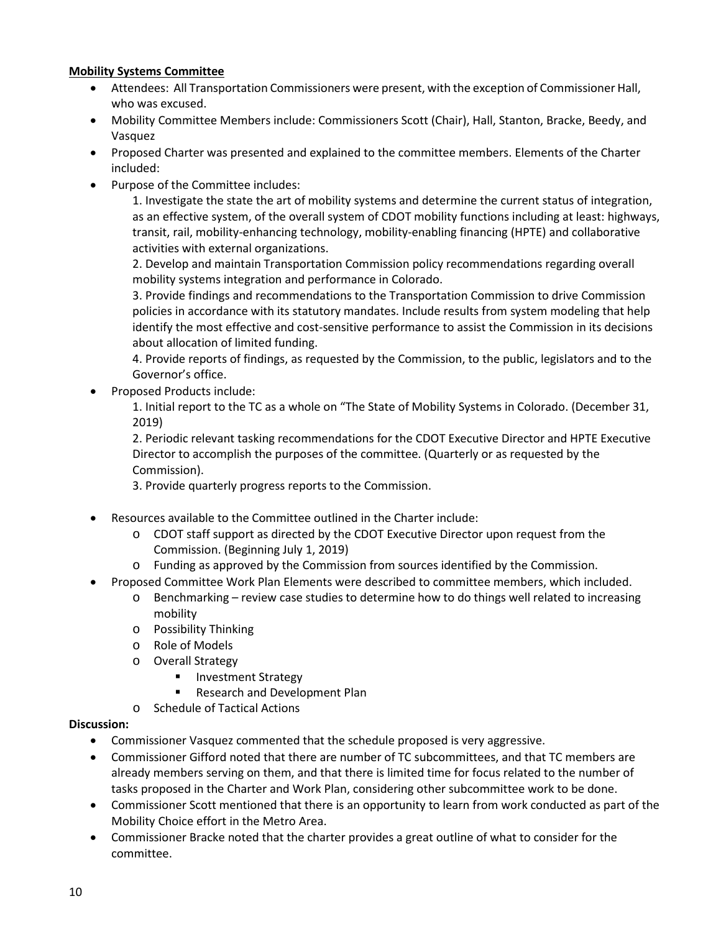## **Mobility Systems Committee**

- Attendees: All Transportation Commissioners were present, with the exception of Commissioner Hall, who was excused.
- Mobility Committee Members include: Commissioners Scott (Chair), Hall, Stanton, Bracke, Beedy, and Vasquez
- Proposed Charter was presented and explained to the committee members. Elements of the Charter included:
- Purpose of the Committee includes:

1. Investigate the state the art of mobility systems and determine the current status of integration, as an effective system, of the overall system of CDOT mobility functions including at least: highways, transit, rail, mobility-enhancing technology, mobility-enabling financing (HPTE) and collaborative activities with external organizations.

2. Develop and maintain Transportation Commission policy recommendations regarding overall mobility systems integration and performance in Colorado.

3. Provide findings and recommendations to the Transportation Commission to drive Commission policies in accordance with its statutory mandates. Include results from system modeling that help identify the most effective and cost-sensitive performance to assist the Commission in its decisions about allocation of limited funding.

4. Provide reports of findings, as requested by the Commission, to the public, legislators and to the Governor's office.

• Proposed Products include:

1. Initial report to the TC as a whole on "The State of Mobility Systems in Colorado. (December 31, 2019)

2. Periodic relevant tasking recommendations for the CDOT Executive Director and HPTE Executive Director to accomplish the purposes of the committee. (Quarterly or as requested by the Commission).

3. Provide quarterly progress reports to the Commission.

- Resources available to the Committee outlined in the Charter include:
	- o CDOT staff support as directed by the CDOT Executive Director upon request from the Commission. (Beginning July 1, 2019)
	- o Funding as approved by the Commission from sources identified by the Commission.
- Proposed Committee Work Plan Elements were described to committee members, which included.
	- o Benchmarking review case studies to determine how to do things well related to increasing mobility
	- o Possibility Thinking
	- o Role of Models
	- o Overall Strategy
		- Investment Strategy
		- **Research and Development Plan**
	- o Schedule of Tactical Actions

#### **Discussion:**

- Commissioner Vasquez commented that the schedule proposed is very aggressive.
- Commissioner Gifford noted that there are number of TC subcommittees, and that TC members are already members serving on them, and that there is limited time for focus related to the number of tasks proposed in the Charter and Work Plan, considering other subcommittee work to be done.
- Commissioner Scott mentioned that there is an opportunity to learn from work conducted as part of the Mobility Choice effort in the Metro Area.
- Commissioner Bracke noted that the charter provides a great outline of what to consider for the committee.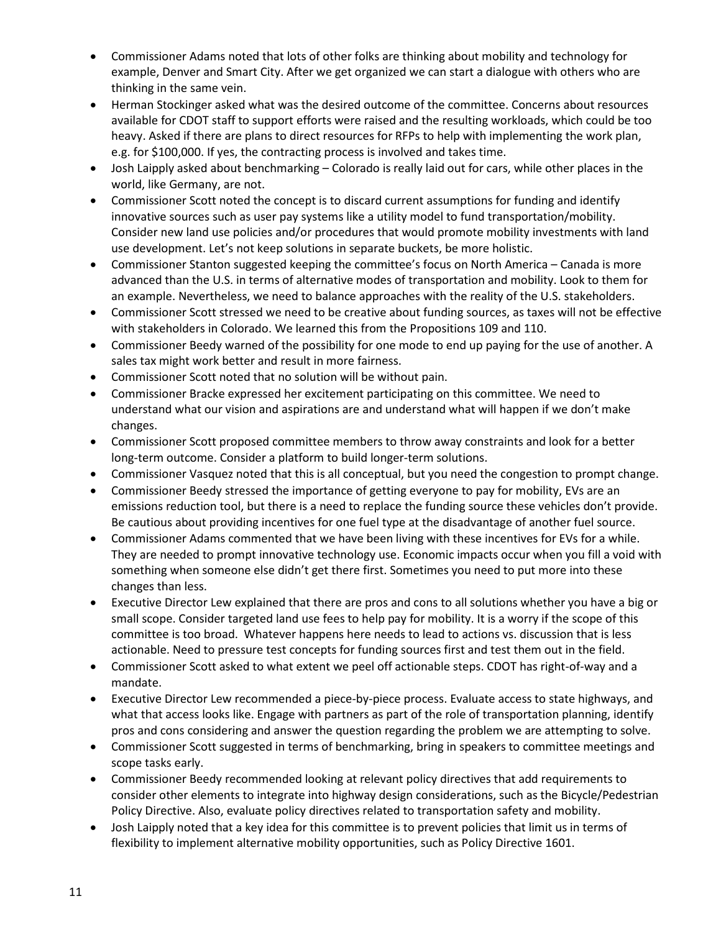- Commissioner Adams noted that lots of other folks are thinking about mobility and technology for example, Denver and Smart City. After we get organized we can start a dialogue with others who are thinking in the same vein.
- Herman Stockinger asked what was the desired outcome of the committee. Concerns about resources available for CDOT staff to support efforts were raised and the resulting workloads, which could be too heavy. Asked if there are plans to direct resources for RFPs to help with implementing the work plan, e.g. for \$100,000. If yes, the contracting process is involved and takes time.
- Josh Laipply asked about benchmarking Colorado is really laid out for cars, while other places in the world, like Germany, are not.
- Commissioner Scott noted the concept is to discard current assumptions for funding and identify innovative sources such as user pay systems like a utility model to fund transportation/mobility. Consider new land use policies and/or procedures that would promote mobility investments with land use development. Let's not keep solutions in separate buckets, be more holistic.
- Commissioner Stanton suggested keeping the committee's focus on North America Canada is more advanced than the U.S. in terms of alternative modes of transportation and mobility. Look to them for an example. Nevertheless, we need to balance approaches with the reality of the U.S. stakeholders.
- Commissioner Scott stressed we need to be creative about funding sources, as taxes will not be effective with stakeholders in Colorado. We learned this from the Propositions 109 and 110.
- Commissioner Beedy warned of the possibility for one mode to end up paying for the use of another. A sales tax might work better and result in more fairness.
- Commissioner Scott noted that no solution will be without pain.
- Commissioner Bracke expressed her excitement participating on this committee. We need to understand what our vision and aspirations are and understand what will happen if we don't make changes.
- Commissioner Scott proposed committee members to throw away constraints and look for a better long-term outcome. Consider a platform to build longer-term solutions.
- Commissioner Vasquez noted that this is all conceptual, but you need the congestion to prompt change.
- Commissioner Beedy stressed the importance of getting everyone to pay for mobility, EVs are an emissions reduction tool, but there is a need to replace the funding source these vehicles don't provide. Be cautious about providing incentives for one fuel type at the disadvantage of another fuel source.
- Commissioner Adams commented that we have been living with these incentives for EVs for a while. They are needed to prompt innovative technology use. Economic impacts occur when you fill a void with something when someone else didn't get there first. Sometimes you need to put more into these changes than less.
- Executive Director Lew explained that there are pros and cons to all solutions whether you have a big or small scope. Consider targeted land use fees to help pay for mobility. It is a worry if the scope of this committee is too broad. Whatever happens here needs to lead to actions vs. discussion that is less actionable. Need to pressure test concepts for funding sources first and test them out in the field.
- Commissioner Scott asked to what extent we peel off actionable steps. CDOT has right-of-way and a mandate.
- Executive Director Lew recommended a piece-by-piece process. Evaluate access to state highways, and what that access looks like. Engage with partners as part of the role of transportation planning, identify pros and cons considering and answer the question regarding the problem we are attempting to solve.
- Commissioner Scott suggested in terms of benchmarking, bring in speakers to committee meetings and scope tasks early.
- Commissioner Beedy recommended looking at relevant policy directives that add requirements to consider other elements to integrate into highway design considerations, such as the Bicycle/Pedestrian Policy Directive. Also, evaluate policy directives related to transportation safety and mobility.
- Josh Laipply noted that a key idea for this committee is to prevent policies that limit us in terms of flexibility to implement alternative mobility opportunities, such as Policy Directive 1601.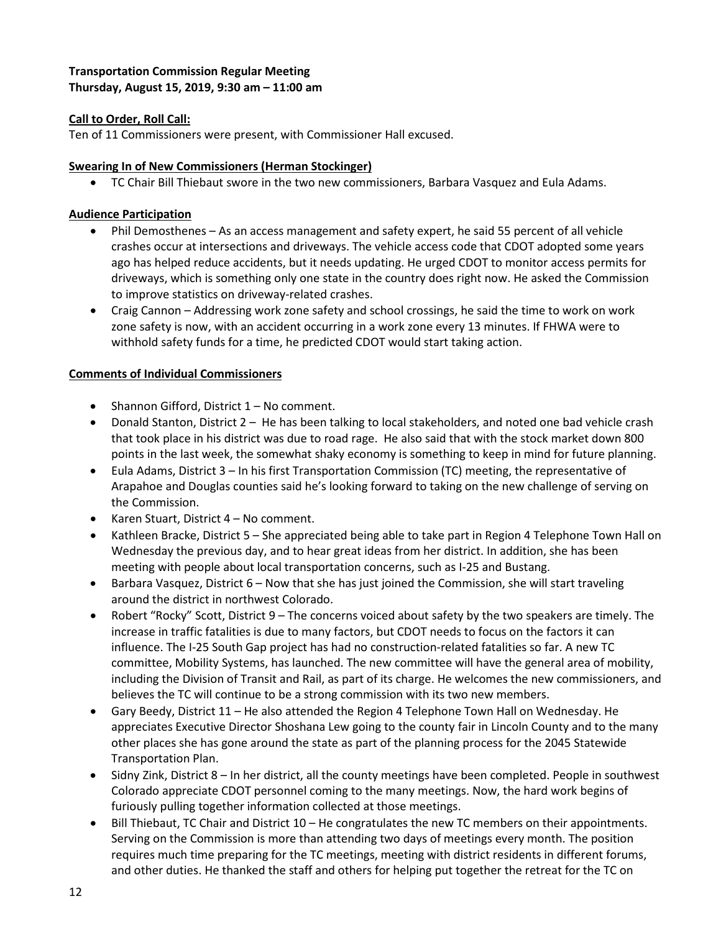# **Transportation Commission Regular Meeting Thursday, August 15, 2019, 9:30 am – 11:00 am**

# **Call to Order, Roll Call:**

Ten of 11 Commissioners were present, with Commissioner Hall excused.

## **Swearing In of New Commissioners (Herman Stockinger)**

• TC Chair Bill Thiebaut swore in the two new commissioners, Barbara Vasquez and Eula Adams.

## **Audience Participation**

- Phil Demosthenes As an access management and safety expert, he said 55 percent of all vehicle crashes occur at intersections and driveways. The vehicle access code that CDOT adopted some years ago has helped reduce accidents, but it needs updating. He urged CDOT to monitor access permits for driveways, which is something only one state in the country does right now. He asked the Commission to improve statistics on driveway-related crashes.
- Craig Cannon Addressing work zone safety and school crossings, he said the time to work on work zone safety is now, with an accident occurring in a work zone every 13 minutes. If FHWA were to withhold safety funds for a time, he predicted CDOT would start taking action.

## **Comments of Individual Commissioners**

- Shannon Gifford, District 1 No comment.
- Donald Stanton, District 2 He has been talking to local stakeholders, and noted one bad vehicle crash that took place in his district was due to road rage. He also said that with the stock market down 800 points in the last week, the somewhat shaky economy is something to keep in mind for future planning.
- Eula Adams, District 3 In his first Transportation Commission (TC) meeting, the representative of Arapahoe and Douglas counties said he's looking forward to taking on the new challenge of serving on the Commission.
- Karen Stuart, District 4 No comment.
- Kathleen Bracke, District 5 She appreciated being able to take part in Region 4 Telephone Town Hall on Wednesday the previous day, and to hear great ideas from her district. In addition, she has been meeting with people about local transportation concerns, such as I-25 and Bustang.
- Barbara Vasquez, District 6 Now that she has just joined the Commission, she will start traveling around the district in northwest Colorado.
- Robert "Rocky" Scott, District 9 The concerns voiced about safety by the two speakers are timely. The increase in traffic fatalities is due to many factors, but CDOT needs to focus on the factors it can influence. The I-25 South Gap project has had no construction-related fatalities so far. A new TC committee, Mobility Systems, has launched. The new committee will have the general area of mobility, including the Division of Transit and Rail, as part of its charge. He welcomes the new commissioners, and believes the TC will continue to be a strong commission with its two new members.
- Gary Beedy, District 11 He also attended the Region 4 Telephone Town Hall on Wednesday. He appreciates Executive Director Shoshana Lew going to the county fair in Lincoln County and to the many other places she has gone around the state as part of the planning process for the 2045 Statewide Transportation Plan.
- Sidny Zink, District 8 In her district, all the county meetings have been completed. People in southwest Colorado appreciate CDOT personnel coming to the many meetings. Now, the hard work begins of furiously pulling together information collected at those meetings.
- Bill Thiebaut, TC Chair and District 10 He congratulates the new TC members on their appointments. Serving on the Commission is more than attending two days of meetings every month. The position requires much time preparing for the TC meetings, meeting with district residents in different forums, and other duties. He thanked the staff and others for helping put together the retreat for the TC on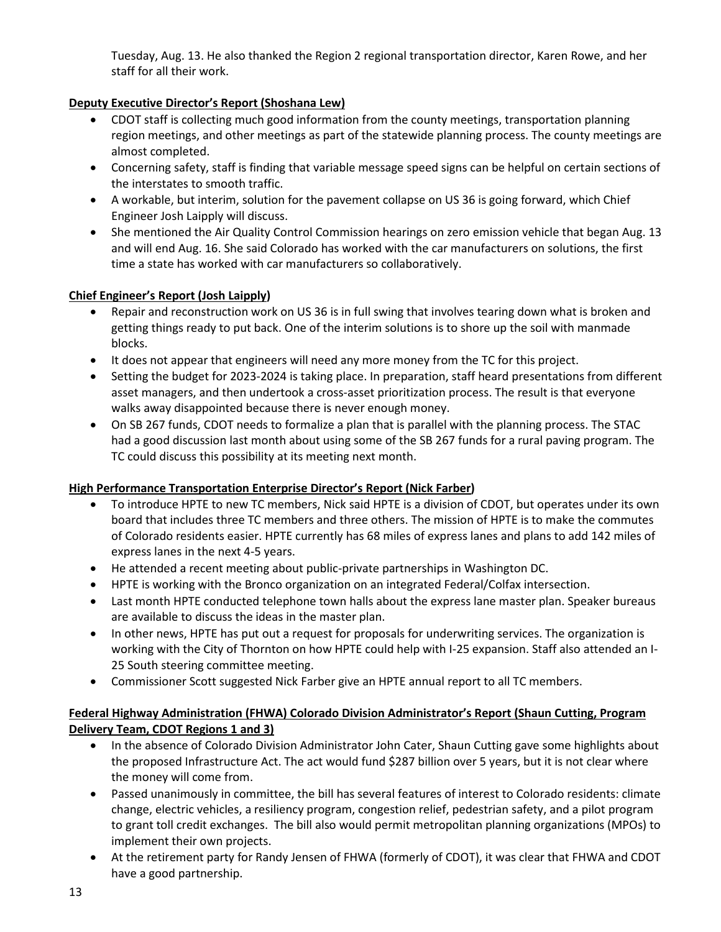Tuesday, Aug. 13. He also thanked the Region 2 regional transportation director, Karen Rowe, and her staff for all their work.

# **Deputy Executive Director's Report (Shoshana Lew)**

- CDOT staff is collecting much good information from the county meetings, transportation planning region meetings, and other meetings as part of the statewide planning process. The county meetings are almost completed.
- Concerning safety, staff is finding that variable message speed signs can be helpful on certain sections of the interstates to smooth traffic.
- A workable, but interim, solution for the pavement collapse on US 36 is going forward, which Chief Engineer Josh Laipply will discuss.
- She mentioned the Air Quality Control Commission hearings on zero emission vehicle that began Aug. 13 and will end Aug. 16. She said Colorado has worked with the car manufacturers on solutions, the first time a state has worked with car manufacturers so collaboratively.

# **Chief Engineer's Report (Josh Laipply)**

- Repair and reconstruction work on US 36 is in full swing that involves tearing down what is broken and getting things ready to put back. One of the interim solutions is to shore up the soil with manmade blocks.
- It does not appear that engineers will need any more money from the TC for this project.
- Setting the budget for 2023-2024 is taking place. In preparation, staff heard presentations from different asset managers, and then undertook a cross-asset prioritization process. The result is that everyone walks away disappointed because there is never enough money.
- On SB 267 funds, CDOT needs to formalize a plan that is parallel with the planning process. The STAC had a good discussion last month about using some of the SB 267 funds for a rural paving program. The TC could discuss this possibility at its meeting next month.

# **High Performance Transportation Enterprise Director's Report (Nick Farber)**

- To introduce HPTE to new TC members, Nick said HPTE is a division of CDOT, but operates under its own board that includes three TC members and three others. The mission of HPTE is to make the commutes of Colorado residents easier. HPTE currently has 68 miles of express lanes and plans to add 142 miles of express lanes in the next 4-5 years.
- He attended a recent meeting about public-private partnerships in Washington DC.
- HPTE is working with the Bronco organization on an integrated Federal/Colfax intersection.
- Last month HPTE conducted telephone town halls about the express lane master plan. Speaker bureaus are available to discuss the ideas in the master plan.
- In other news, HPTE has put out a request for proposals for underwriting services. The organization is working with the City of Thornton on how HPTE could help with I-25 expansion. Staff also attended an I-25 South steering committee meeting.
- Commissioner Scott suggested Nick Farber give an HPTE annual report to all TC members.

# **Federal Highway Administration (FHWA) Colorado Division Administrator's Report (Shaun Cutting, Program Delivery Team, CDOT Regions 1 and 3)**

- In the absence of Colorado Division Administrator John Cater, Shaun Cutting gave some highlights about the proposed Infrastructure Act. The act would fund \$287 billion over 5 years, but it is not clear where the money will come from.
- Passed unanimously in committee, the bill has several features of interest to Colorado residents: climate change, electric vehicles, a resiliency program, congestion relief, pedestrian safety, and a pilot program to grant toll credit exchanges. The bill also would permit metropolitan planning organizations (MPOs) to implement their own projects.
- At the retirement party for Randy Jensen of FHWA (formerly of CDOT), it was clear that FHWA and CDOT have a good partnership.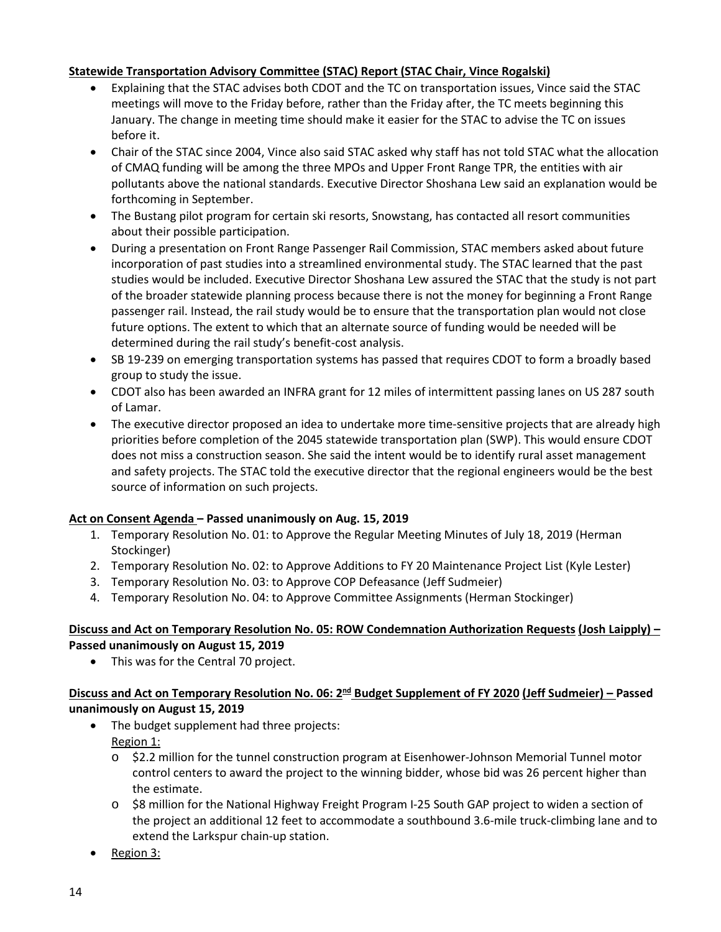## **Statewide Transportation Advisory Committee (STAC) Report (STAC Chair, Vince Rogalski)**

- Explaining that the STAC advises both CDOT and the TC on transportation issues, Vince said the STAC meetings will move to the Friday before, rather than the Friday after, the TC meets beginning this January. The change in meeting time should make it easier for the STAC to advise the TC on issues before it.
- Chair of the STAC since 2004, Vince also said STAC asked why staff has not told STAC what the allocation of CMAQ funding will be among the three MPOs and Upper Front Range TPR, the entities with air pollutants above the national standards. Executive Director Shoshana Lew said an explanation would be forthcoming in September.
- The Bustang pilot program for certain ski resorts, Snowstang, has contacted all resort communities about their possible participation.
- During a presentation on Front Range Passenger Rail Commission, STAC members asked about future incorporation of past studies into a streamlined environmental study. The STAC learned that the past studies would be included. Executive Director Shoshana Lew assured the STAC that the study is not part of the broader statewide planning process because there is not the money for beginning a Front Range passenger rail. Instead, the rail study would be to ensure that the transportation plan would not close future options. The extent to which that an alternate source of funding would be needed will be determined during the rail study's benefit-cost analysis.
- SB 19-239 on emerging transportation systems has passed that requires CDOT to form a broadly based group to study the issue.
- CDOT also has been awarded an INFRA grant for 12 miles of intermittent passing lanes on US 287 south of Lamar.
- The executive director proposed an idea to undertake more time-sensitive projects that are already high priorities before completion of the 2045 statewide transportation plan (SWP). This would ensure CDOT does not miss a construction season. She said the intent would be to identify rural asset management and safety projects. The STAC told the executive director that the regional engineers would be the best source of information on such projects.

# **Act on Consent Agenda – Passed unanimously on Aug. 15, 2019**

- 1. Temporary Resolution No. 01: to Approve the Regular Meeting Minutes of July 18, 2019 (Herman Stockinger)
- 2. Temporary Resolution No. 02: to Approve Additions to FY 20 Maintenance Project List (Kyle Lester)
- 3. Temporary Resolution No. 03: to Approve COP Defeasance (Jeff Sudmeier)
- 4. Temporary Resolution No. 04: to Approve Committee Assignments (Herman Stockinger)

# **Discuss and Act on Temporary Resolution No. 05: ROW Condemnation Authorization Requests (Josh Laipply) – Passed unanimously on August 15, 2019**

• This was for the Central 70 project.

# **Discuss and Act on Temporary Resolution No. 06: 2nd Budget Supplement of FY 2020 (Jeff Sudmeier) – Passed unanimously on August 15, 2019**

- The budget supplement had three projects: Region 1:
	- o \$2.2 million for the tunnel construction program at Eisenhower-Johnson Memorial Tunnel motor control centers to award the project to the winning bidder, whose bid was 26 percent higher than the estimate.
	- o \$8 million for the National Highway Freight Program I-25 South GAP project to widen a section of the project an additional 12 feet to accommodate a southbound 3.6-mile truck-climbing lane and to extend the Larkspur chain-up station.
- Region 3: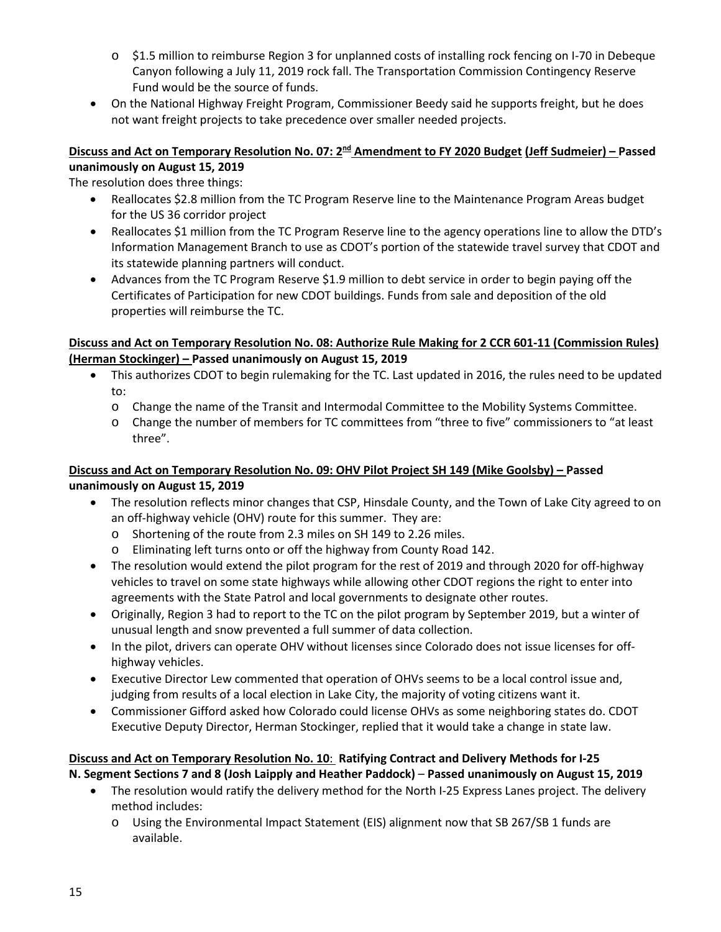- o \$1.5 million to reimburse Region 3 for unplanned costs of installing rock fencing on I-70 in Debeque Canyon following a July 11, 2019 rock fall. The Transportation Commission Contingency Reserve Fund would be the source of funds.
- On the National Highway Freight Program, Commissioner Beedy said he supports freight, but he does not want freight projects to take precedence over smaller needed projects.

## **Discuss and Act on Temporary Resolution No. 07: 2nd Amendment to FY 2020 Budget (Jeff Sudmeier) – Passed unanimously on August 15, 2019**

The resolution does three things:

- Reallocates \$2.8 million from the TC Program Reserve line to the Maintenance Program Areas budget for the US 36 corridor project
- Reallocates \$1 million from the TC Program Reserve line to the agency operations line to allow the DTD's Information Management Branch to use as CDOT's portion of the statewide travel survey that CDOT and its statewide planning partners will conduct.
- Advances from the TC Program Reserve \$1.9 million to debt service in order to begin paying off the Certificates of Participation for new CDOT buildings. Funds from sale and deposition of the old properties will reimburse the TC.

# **Discuss and Act on Temporary Resolution No. 08: Authorize Rule Making for 2 CCR 601-11 (Commission Rules) (Herman Stockinger) – Passed unanimously on August 15, 2019**

- This authorizes CDOT to begin rulemaking for the TC. Last updated in 2016, the rules need to be updated to:
	- o Change the name of the Transit and Intermodal Committee to the Mobility Systems Committee.
	- o Change the number of members for TC committees from "three to five" commissioners to "at least three".

# **Discuss and Act on Temporary Resolution No. 09: OHV Pilot Project SH 149 (Mike Goolsby) – Passed unanimously on August 15, 2019**

- The resolution reflects minor changes that CSP, Hinsdale County, and the Town of Lake City agreed to on an off-highway vehicle (OHV) route for this summer. They are:
	- o Shortening of the route from 2.3 miles on SH 149 to 2.26 miles.
	- o Eliminating left turns onto or off the highway from County Road 142.
- The resolution would extend the pilot program for the rest of 2019 and through 2020 for off-highway vehicles to travel on some state highways while allowing other CDOT regions the right to enter into agreements with the State Patrol and local governments to designate other routes.
- Originally, Region 3 had to report to the TC on the pilot program by September 2019, but a winter of unusual length and snow prevented a full summer of data collection.
- In the pilot, drivers can operate OHV without licenses since Colorado does not issue licenses for offhighway vehicles.
- Executive Director Lew commented that operation of OHVs seems to be a local control issue and, judging from results of a local election in Lake City, the majority of voting citizens want it.
- Commissioner Gifford asked how Colorado could license OHVs as some neighboring states do. CDOT Executive Deputy Director, Herman Stockinger, replied that it would take a change in state law.

#### **Discuss and Act on Temporary Resolution No. 10**: **Ratifying Contract and Delivery Methods for I-25 N. Segment Sections 7 and 8 (Josh Laipply and Heather Paddock)** – **Passed unanimously on August 15, 2019**

- The resolution would ratify the delivery method for the North I-25 Express Lanes project. The delivery method includes:
	- o Using the Environmental Impact Statement (EIS) alignment now that SB 267/SB 1 funds are available.